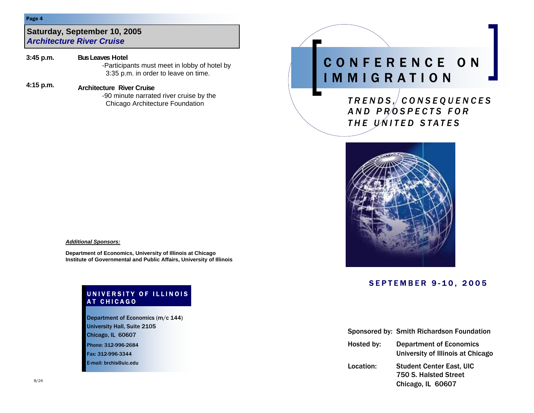#### Page 4

### **Saturday, September 10, 2005** *Architecture River Cruise*

**Bus Leaves Hotel** -Participants must meet in lobby of hotel by 3:35 p.m. in order to leave on time. **3:45 p.m.** 

# **4:15 p.m. Architecture River Cruise**

-90 minute narrated river cruise by the Chicago Architecture Foundation

# CONFERENCE ON IMMIGRATION

*TRENDS, CONSEQUENCES AND PROSPECTS FOR THE UNITED STATES* 



# SEPTEMBER 9-10, 2005

|            | Sponsored by: Smith Richardson Foundation                                     |
|------------|-------------------------------------------------------------------------------|
| Hosted by: | <b>Department of Economics</b><br>University of Illinois at Chicago           |
| Location:  | <b>Student Center East, UIC</b><br>750 S. Halsted Street<br>Chicago, IL 60607 |

#### *Additional Sponsors:*

**Department of Economics, University of Illinois at Chicago Institute of Governmental and Public Affairs, University of Illinois** 

#### UNIVERSITY OF ILLINOIS AT CHICAGO

Phone: 312-996-2684 Fax: 312-996-3344 E-mail: brchis@uic.edu Department of Economics (m/c 144) University Hall, Suite 2105 Chicago, IL 60607